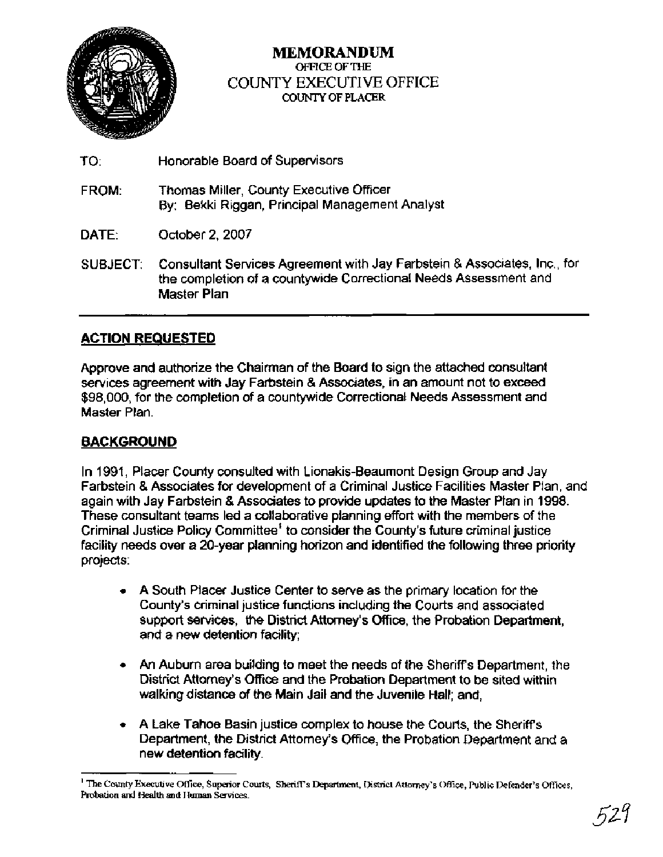

# **MEMORANDUM OFFICE OF THE**  COUNTY EXECUTNE OFFICE *COUNTY* **OF PLACER**

- TO: Honorable Board of Supervisors
- FROM: Thomas Miller, County Executive Officer By: Bekki Riggan, Principal Management Analyst
- DATE: October 2,2007
- SUBJECT: Consultant Services Agreement with Jay Farbstein & Associates, Inc., for the completion of a countywide Correctional Needs Assessment and Master Plan

# **ACTION REQUESTED**

Approve and authorize the Chairman of the Board to sign the attached consultant services agreement with Jay Farbstein & Associates, in an amount not to exceed \$98,000, for the completion of a countywide Correctional Needs Assessment and Master Plan.

# **BACKGROUND**

In 1991, Placer County consulted with Lionakis-Beaumont Design Group and Jay Farbstein & Associates for development of a Criminal Justice Facilities Master Plan, and again with Jay Farbstein & Associates to provide updates to the Master Plan in 1998. These consultant teams led a collaborative planning effort with the members of the Criminal Justice Policy Committee<sup>t</sup> to consider the County's future criminal justice facility needs over a 20-year planning horizon and identified the following three priority projects:

- A South Placer Justice Center to serve as the primary location for the County's criminal justice functions including the Courts and associated support services, the District Attorney's Office, the Probation Department, and a new detention facility;
- An Auburn area building to meet the needs of the Sheriffs Department, the District Attomey's Office and the Probation Department to be sited within walking distance of the Main Jail and the Juvenile Hall; and,
- A Lake Tahoe Basin justice complex to house the Courts, the Sheriffs Department, the District Attomey's Office, the Probation Department and a new detention facility.

<sup>&</sup>lt;sup>1</sup> The County Executive Office, Superior Courts, Sheriff's Department, District Attorney's Office, Public Defender's Offices, **Probation and Health and** Human Services.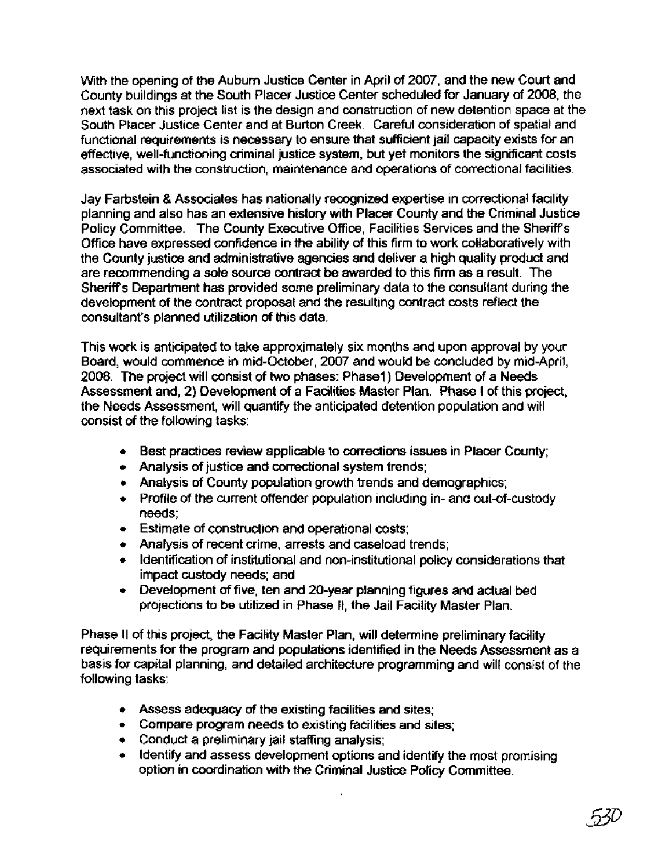With the opening of the Auburn Justice Center in April of 2007, and the new Court and County buildings at the South Placer Justice Center scheduled for January of 2008, the next task on this project list is the design and construction of new detention space at the South Placer Justice Center and at Burton Creek. Careful consideration of spatial and functional requirements is necessary to ensure that sufficient jail capacity exists for an effective, well-functioning criminal justice system, but yet monitors the significant costs associated with the construction, maintenance and operations of correctional facilities.

Jay Farbstein & Associates has nationally recognized expertise in correctional facility planning and also has an extensive history with Placer County and the Criminal Justice Policy Committee. The County Executive Office, Facilities Services and the Sheriff's Office have expressed confidence in the ability of this firm to work collaboratively with the County justice and administrative agencies and deliver a high quality product and are recommending a sole source contract be awarded to this firm as a result. The Sheriffs Department has provided some preliminary data to the consultant during the development of the contract proposal and the resulting contract costs reflect the consultant's planned utilization of this data.

This work is anticipated to take approximately six months and upon approval by your Board, would commence in mid-October, 2007 and would be concluded by mid-April, 2008. The project will consist of two phases: Phasel) Development of a Needs Assessment and, 2) Development of a Facilities Master Plan. Phase I of this project, the Needs Assessment, will quantify the anticipated detention population and will consist of the following tasks:

- Best practices review applicable to corrections issues in Placer County;
- Analysis of justice and correctional system trends;
- Analysis of County population growth trends and demographics;
- Profile of the current offender population including in- and out-of-custody needs;
- **Estimate of construction and operational costs;**
- Analysis of recent crime, arrests and caseload trends;
- Identification of institutional and non-institutional policy considerations that  $\bullet$ impact custody needs; and
- Development of five, ten and 20-year planning figures and actual bed projections to be utilized in Phase II, the Jail Facility Master Plan.

Phase II of this project, the Facility Master Plan, will determine preliminary facility requirements for the program and populations identified in the Needs Assessment as a basis for capital planning, and detailed architecture programming and will consist of the following tasks:

- Assess adequacy of the existing facilities and sites;
- Compare program needs to existing facilities and sites;
- Conduct a preliminary jail staffing analysis;
- Identify and assess development options and identify the most promising option in coordination with the Criminal Justice Policy Committee.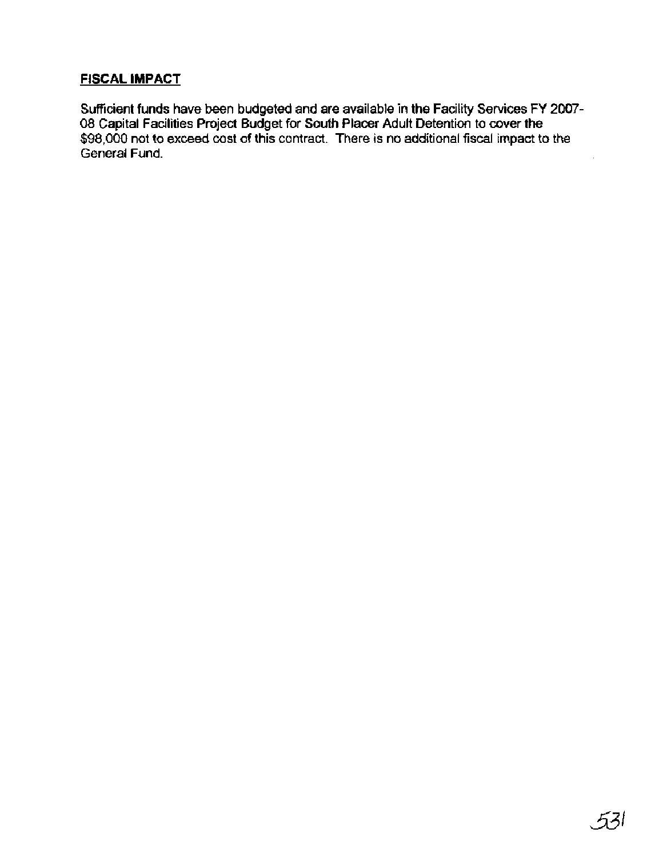# **FISCAL IMPACT**

**Sufficient funds have been budgeted and are available in the Facility Services FY 2007- 08 Capital Facilities Project Budget for South Placer Adult Detention to cover the \$98,000 not to exceed cost of this contract. There is no additional fiscal impact to the General Fund.**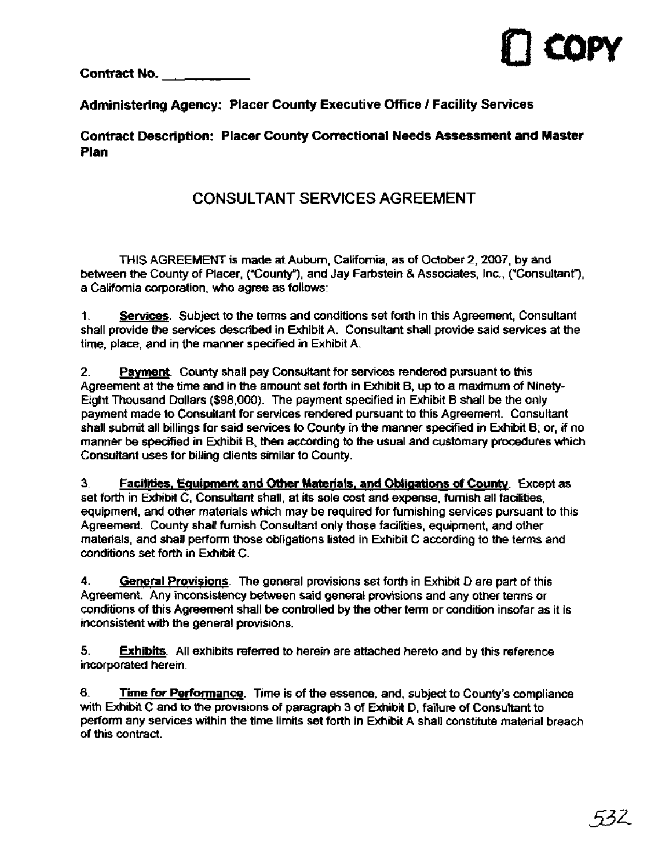**Contract No.** 



# **Administering Agency: Placer County Executive Office 1 Facility Services**

**Contract Description: Placer County Correctional Needs Assessment and Master Plan** 

# CONSULTANT SERVICES AGREEMENT

THIS AGREEMENT is made at Auburn, California, as of October 2,2007, by and between the County of Placer, ("County"), and Jay Farbstein & Associates, Inc., ("Consultant"), a California corporation, who agree as follows:

**1. Sewices.** Subject to the terms and conditions set forth in this Agreement, Consultant shall provide the services described in Exhibit A. Consultant shall provide said services at the time, place, and in the manner specified in Exhibit A.

**2. Payment.** County shall pay Consultant for services rendered pursuant to this Agreement at the time and in the amount set forth in Exhibit B, up to a maximum of Ninety-Eight Thousand Dollars (\$98,000). The payment specified in Exhibit B shall be the only payment made to Consultant for services rendered pursuant to this Agreement. Consultant shall submit all billings for said services to County in the manner specified in Exhibit B; or, if no manner be specified in Exhibit B, then according to the usual and customary procedures which Consultant uses for billing clients similar to County.

**3. <b>Facilities, Equipment and Other Materials, and Obligations of County.** Except as set forth in Exhibit C, Consultant shall, at its sole cost and expense, furnish all facilities, equipment, and other materials which may be required for furnishing services pursuant to this Agreement. County shall furnish Consultant only those facilities, equipment, and other materials, and shall perform those obligations listed in Exhibit C according to the terms and conditions set forth in Exhibit C.

**4. General Provisions.** The general provisions set forth in Exhibit D are part of this Agreement. Any inconsistency between said general provisions and any other terms or conditions of this Agreement shall be controlled by the other term or condition insofar as it is inconsistent with the general provisions.

**5. Exhibits.** All exhibits referred to herein are attached hereto and by this reference incorporated herein.

**6. Time for Performance.** Time is of the essence, and, subject to County's compliance with Exhibit C and to the provisions of paragraph 3 of Exhibit D, failure of Consultant to perform any services within the time limits set forth in Exhibit A shall constitute material breach of this contract.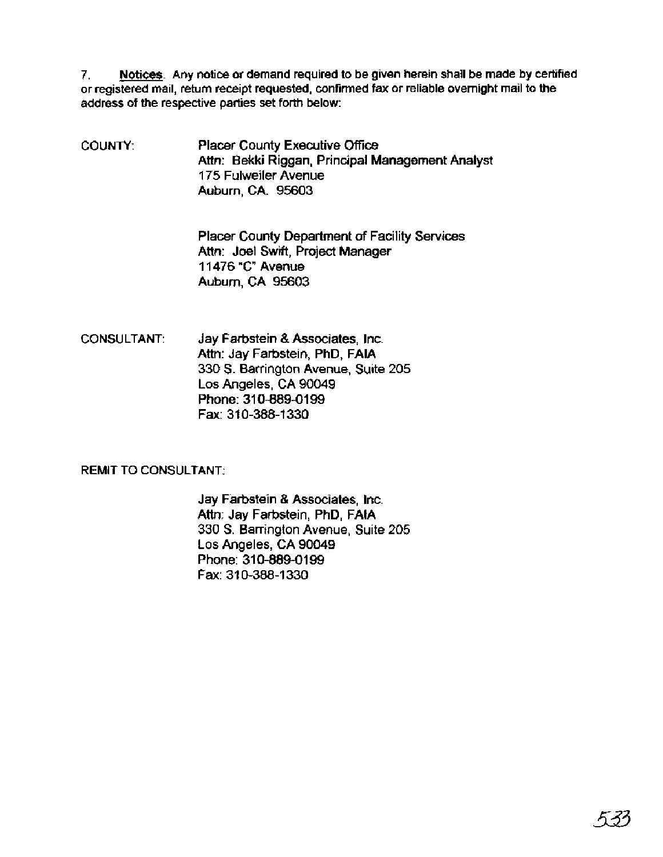**7. Notices. Any notice or demand required to be given herein shall be made by certified or registered mail, return receipt requested, confirmed fax or reliable overnight mail to the address of the respective parties set forth below:** 

**COUNTY:** Placer County Executive Office Attn: Bekki Riggan, Principal Management Analyst 175 Fulweiler Avenue Auburn, CA. 95603

> Placer County Department of Facility Services Attn: Joel Swift, Project Manager 11476 "C" Avenue Auburn, CA 95603

**CONSULTANT:** Jay Farbstein & Associates, Inc. Attn: Jay Farbstein, PhD, FAlA 330 S. Barrington Avenue, Suite 205 Los Angeles, CA 90049 Phone: 310-889-0199 Fax: 310-388-1330

**REMIT TO CONSULTANT:** 

Jay Farbstein & Associates, Inc. Attn: Jay Farbstein, PhD, FAlA 330 S. Barrington Avenue, Suite 205 Los Angeles, CA 90049 Phone: 310-889-0199 Fax: 31 0-388-1 330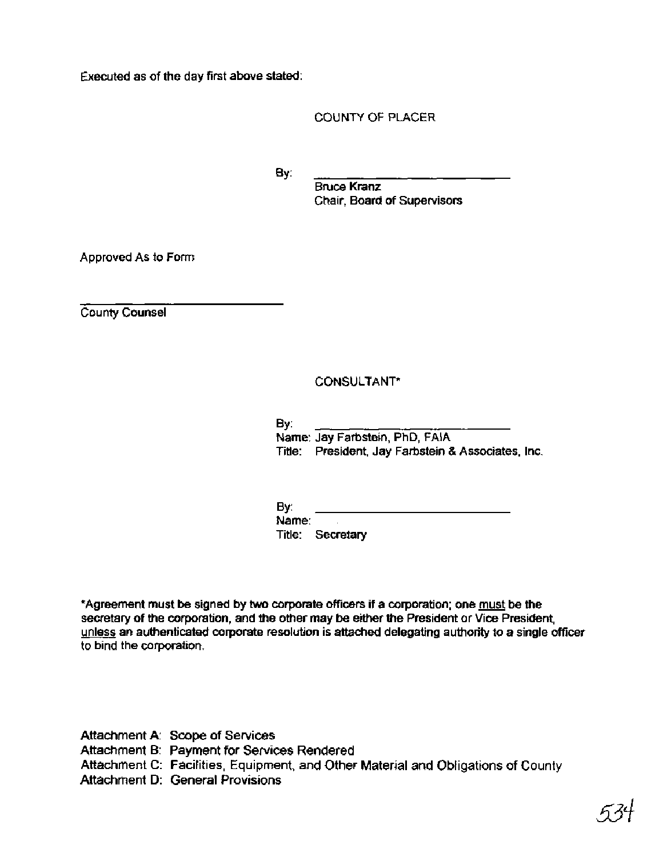Executed as of the day first above stated:

COUNTY OF PLACER

By:

Bruce Kranz Chair, Board of Supervisors

Approved As to Form

-- County counsel

#### CONSULTANT\*

By:

Name: Jay Farbstein, PhD, FAlA Title: President, Jay Farbstein & Associates, Inc.

By: Name: Title: Secretary

\*Agreement must be signed by **two** corporate officers if a corporation; one must be the secretary of the corporation, and the other may be either the President or Vice President, unless an authenticated corporate resolution is attached delegating authority to a single officer to bind the corporation.

Attachment A: Scope of Services Attachment B: Payment for Services Rendered Attachment C: Facilities, Equipment, and Other Material and Obligations of County Attachment D: General Provisions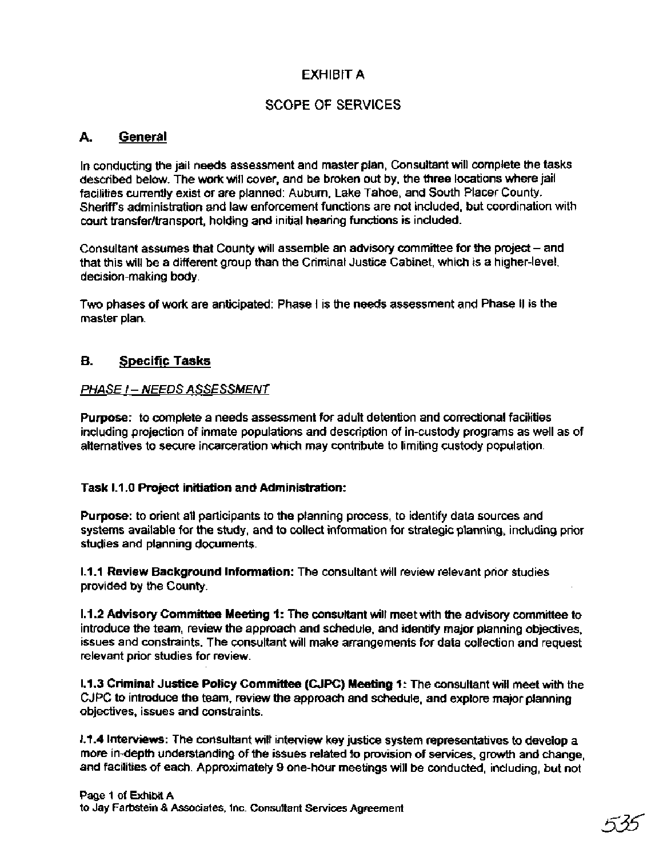# **EXHIBIT A**

## **SCOPE OF SERVICES**

### **A. General**

In conducting the jail needs assessment and master plan, Consultant will complete the tasks described below. The work will cover, and be broken out by, the three locations where jail facilities currently exist or are planned: Auburn, Lake Tahoe, and South Placer County. Sheriffs administration and law enforcement functions are not included, but coordination with court transferltransport, holding and initial hearing fundions is included.

Consultant assumes that County will assemble an advisory committee for the project - and that this will be a different group than the Criminal Justice Cabinet, which is a higher-level, decision-making body.

Two phases of work are anticipated: Phase I is the needs assessment and Phase II is the master plan.

#### В. **Specific Tasks**

#### **PHASE i** - **NEEDS ASSESSMENT**

**Purpose:** to complete a needs assessment for adult detention and correctional facilities including projection of inmate populations and description of in-custody programs as well as of alternatives to secure incarceration which may contribute to limiting custody population.

#### **Task 1.1.0 Project initiation and Administration:**

**Purpose:** to orient all participants to the planning process, to identify data sources and systems available for the study, and to collect information for strategic planning, including prior studies and planning documents.

**1.1.1 Review Background Information:** The consultant will review relevant prior studies provided by the County.

**I.1.2 Advisory Committee Meeting 1: The consultant will meet with the advisory committee to** introduce the team, review the approach and schedule, and identify major planning objectives, issues and constraints. The consultant will make arrangements for data collection and request relevant prior studies for review.

**1.1.3 Criminal Justice Policy Committee (CJPC) Meeting 1** : The consultant will meet with the CJPC to introduce the team, review the approach and schedule, and explore major planning objectives, issues and constraints.

**1.1.4 Interviews:** The consultant will interview key justice system representatives to develop a more in-depth understanding of the issues related to provision of services, growth and change, and facilities of each. Approximately 9 one-hour meetings will be conducted, including, but not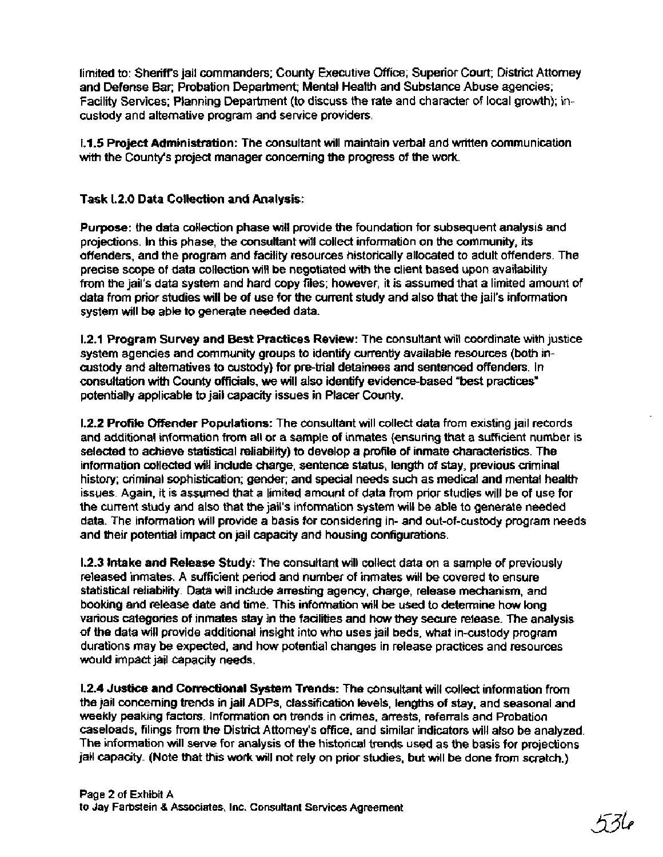limited to: Sheriffs jail commanders; County Executive Office; Superior Court; District Attorney and Defense Bar; Probation Department; Mental Health and Substance Abuse agencies; Facility Services; Planning Department (to discuss the rate and character of local growth); incustody and alternative program and service providers.

1.1.5 **Project Administration:** The consultant will maintain verbal and written communication with the County's project manager concerning the progress of the work.

#### **Task 1.2.0 Data Collection and Analysis:**

**Purpose:** the data collection phase will provide the foundation for subsequent analysis and projections. In this phase, the consultant will collect information on the community, its offenders, and the program and facility resources historically allocated to adult offenders. The precise scope of data collection will be negotiated with the client based upon availability from the jail's data system and hard copy files; however, it is assumed that a limited amount of data from prior studies will be of use for the current study and also that the jail's information system will be able to generate needed data.

**1.2.1 Program Survey and Best Practices Review:** The consultant will coordinate with justice system agencies and community groups to identify currently available resources (both incustody and alternatives to custody) for pre-trial detainees and sentenced offenders. In consultation with County officials, we will also identify evidence-based "best practices" potentially applicable to jail capacity issues in Placer County.

**1.2.2 Profile Offender Populations:** The consultant will collect data from existing jail records and additional information from all or a sample of inmates (ensuring that a sufficient number is selected to achieve statistical reliability) to develop a profile of inmate characteristics. The information collected will indude charge, sentence status, length of stay, previous criminal history; criminal sophistication; gender; and special needs such as medical and mental health issues. Again, it is assumed that a limited amount of data from prior studies will be of use for the current study and also that the jail's information system will be able to generate needed data. The information will provide a basis for considering in- and out-of-custody program needs and their potential impact on jail capacity and housing configurations.

**1.2.3 Intake and Release Study:** The consultant will collect data on a sample of previously released inmates. A sufficient period and number of inmates will be covered to ensure statistical reliability. Data will indude arresting agency, charge, release mechanism, and booking and release date and time. This information will be used to determine how long various categories of inmates stay in the facilities and how they secure release. The analysis of the data will provide additional insight into who uses jail beds, what in-custody program durations may be expected, and how potential changes in release practices and resources would impact jail capacity needs.

**1.2.4 Justice and Correctional System Trends:** The consultant will collect information from the jail concerning trends in jail ADPs, classification levels, lengths of stay, and seasonal and weekly peaking factors. Information on trends in crimes, arrests, referrals and Probation caseloads, filings from the District Attorney's office, and similar indicators will also be analyzed The information will serve for analysis of the historical trends used as the basis for projections jail capacity. (Note that this work will not rely on prior studies, but will be done from scratch.)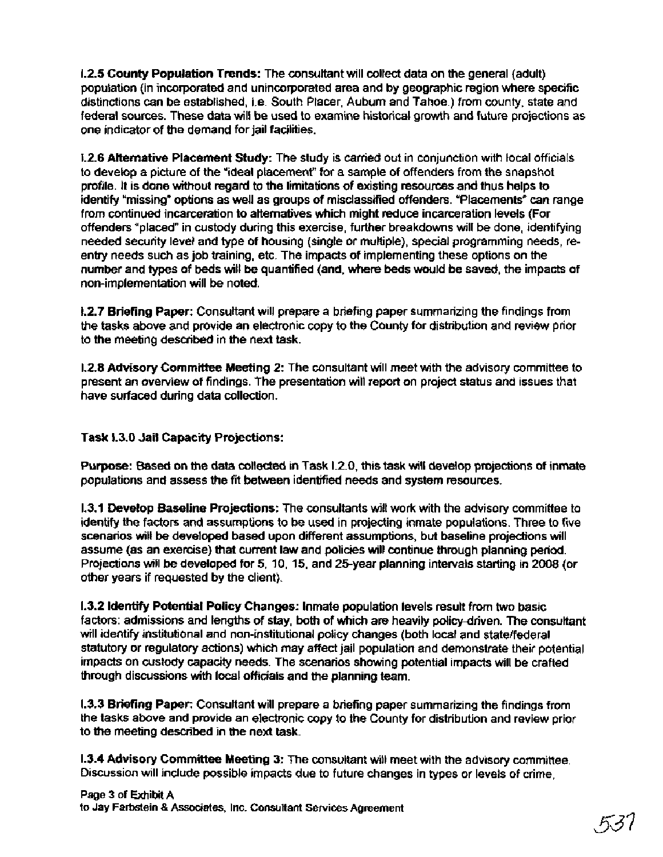1.2.5 County Population Trends: The consultant will collect data on the general (adult) population (in incorporated and unincorporated area and by geographic region where specific distinctions can be established, i.e. South Placer, Auburn and Tahoe.) from county, state and federal sources. These data will be used to examine historical growth and future projections as one indicator of the demand for jail facilities.

1.2.6 Alternative Placement Study: The study is carried out in conjunction with local officials to develop a picture of the "ideal placement" for a sample of offenders from the snapshot profile. It is done without regard to the limitations of existing resources and thus helps to identify "missing" options as well as groups of misclassified offenders. "Placements" can range from continued incarceration to alternatives which might reduce incarceration levels (For offenders "placed" in custody during this exercise, further breakdowns will be done, identifying needed security level and type of housing (single or multiple), special programming needs, reentry needs such as job training, etc. The impacts of implementing these options on the number and types of beds will be quantified (and, where beds would be saved, the impacts of non-implementation will be noted.

1.2.7 Briefing Paper: Consultant will prepare a briefing paper summarizing the findings from the tasks above and provide an electronic copy to the County for distribution and review prior to the meeting described in the next task.

1.2.8 Advisory Committee Meeting 2: The consultant will meet with the advisory committee to present an overview of findings. The presentation will report on project status and issues that have surfaced during data collection.

Task **1.3.0** Jail Capacity Projections:

Purpose: Based on the data collected in Task 1.2.0, this task will develop projections of inmate populations and assess the fit between identified needs and system resources.

**1.3.1** Develop Baseline Projections: The consultants will work with the advisory committee to identify the factors and assumptions to be used in projecting inmate populations. Three to five scenarios will be developed based upon different assumptions, but baseline projections will assume (as an exercise) that current law and policies will continue through planning period. Projections will be developed for 5, 10, 15, and 25-year planning intervals starting in 2008 (or other years if requested by the client).

1.3.2 Identify Potential Policy Changes: Inmate population levels result from two basic factors: admissions and lengths of stay, both of which are heavily policy-driven. The consultant will identify institutional and non-institutional policy changes (both local and state/federal statutory or regulatory actions) which may affect jail population and demonstrate their potential impacts on custody capacity needs. The scenarios showing potential impacts will be crafted through discussions with local officials and the planning team.

**1.3.3** Briefing Paper: Consultant will prepare a briefing paper summarizing the findings from the tasks above and provide an electronic copy to the County for distribution and review prior to the meeting described in the next task.

1.3.4 Advisory Committee Meeting **3:** The consultant will meet with the advisory committee. Discussion will include possible impacts due to future changes in types or levels of crime,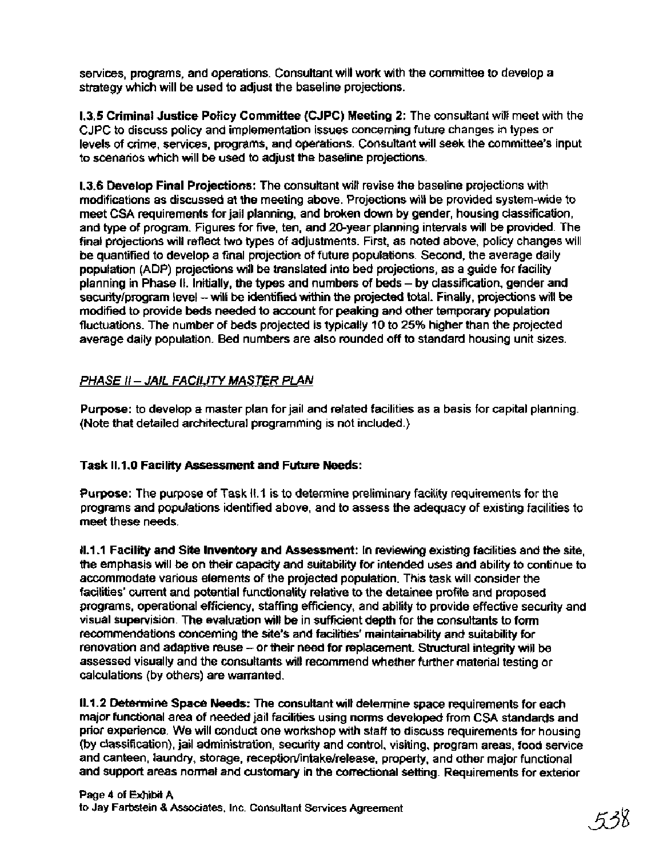services, programs, and operations. Consultant will work with the committee to develop a strategy which will be used to adjust the baseline projections.

1.3.5 Criminal Justice Policy Committee (CJPC) Meeting 2: The consultant will meet with the CJPC to discuss policy and implementation issues conceming future changes in types or levels of crime, services, programs, and operations. Consultant will seek the committee's input to scenarios which will be used to adjust the baseline projections.

1.3.6 Develop Final Projections: The consultant will revise the baseline projections with modifications as discussed at the meeting above. Projections will be provided system-wide to meet CSA requirements for jail planning, and broken down by gender, housing classification, and type of program. Figures for five, ten, and 20-year planning intervals will be provided. The final projections will reflect two types of adjustments. First, as noted above, policy changes will be quantified to develop a final projection of future populations. Second, the average daily population (ADP) projections will be translated into bed projections, as a guide for facility planning in Phase II. Initially, the types and numbers of beds - by classification, gender and security/program level -- will be identified within the projected total. Finally, projections will be modified to provide beds needed to account for peaking and other temporary population fluctuations. The number of beds projected is typically 10 to 25% higher than the projected average daily population. Bed numbers are also rounded off to standard housing unit sizes.

### **PHASE I1** - **JAIL FACILITY MASTER PLAN**

Purpose: to develop a master plan for jail and related facilities as a basis for capital planning (Note that detailed architectural programming is not included.)

#### Task 11.1.0 Facility Assessment and Future Needs:

Purpose: The purpose of Task II.1 is to determine preliminary facility requirements for the programs and populations identified above, and to assess the adequacy of existing facilities to meet these needs.

**II.1.1 Facility and Site Inventory and Assessment:** In reviewing existing facilities and the site, the emphasis will be on their capacity and suitability for intended uses and ability to continue to accommodate various elements of the projected population. This task will consider the facilities' current and potential functionality relative to the detainee profile and proposed programs, operational efficiency, staffing efficiency, and ability to provide effective security and visual supervision. The evaluation will be in sufficient depth for the consultants to form recommendations concerning the site's and facilities' maintainability and suitability for renovation and adaptive reuse - or their need for replacement. Structural integrity will be assessed visually and the consultants will recommend whether further material testing or calculations (by others) are warranted.

11.1.2 Determine Space Needs: The consultant will determine space requirements for each major functional area of needed jail facilities using norms developed from CSA standards and prior experience. We will conduct one workshop with staff to discuss requirements for housing (by classification), jail administration, security and control, visiting, program areas, food service and canteen, laundry, storage, **reception/intake/release,** property, and other major functional and support areas normal and customary in the correctional setting. Requirements for exterior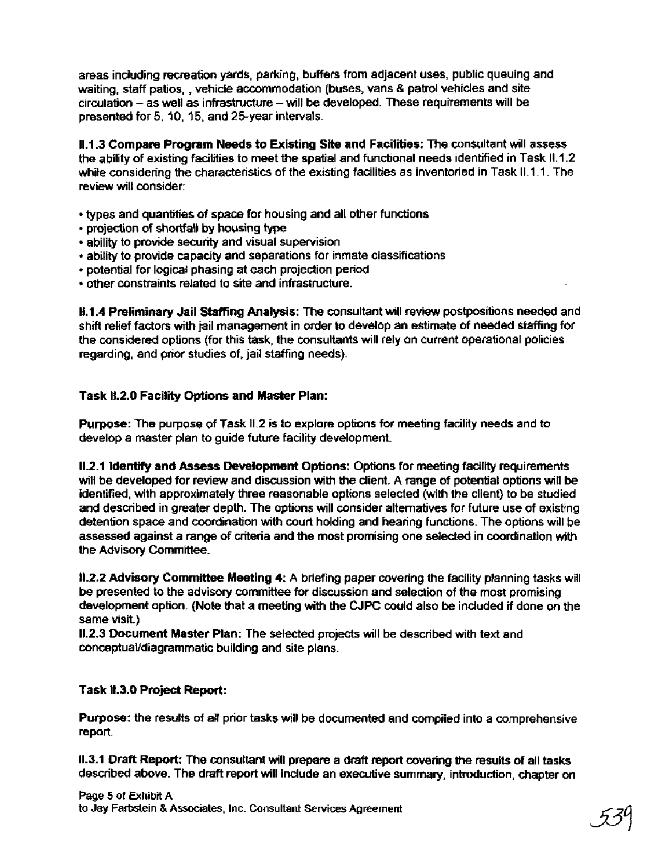areas including recreation yards, parking, buffers from adjacent uses, public queuing and waiting, staff patios, , vehicle accommodation (buses, vans & patrol vehicles and site  $circ$  circulation  $-$  as well as infrastructure  $-$  will be developed. These requirements will be presented for 5, 10, 15, and 25-year intervals.

**11.1.3 Compare Program Needs to Existing Site and Facilities:** The consultant will assess the ability of existing facilities to meet the spatial and functional needs identified in Task II.1.2 while considering the characteristics of the existing facilities as inventoried in Task II.1.1. The review will consider:

- types and quantities of space for housing and all other functions
- projection of shortfall by housing type
- ability to provide security and visual supervision
- ability to provide capacity and separations for inmate classifications
- potential for logical phasing at each projection period
- other constraints related to site and infrastructure.

**11.1.4 Preliminary Jail Staffing Analysis:** The consultant will review postpositions needed and shift relief factors with jail management in order to develop an estimate of needed staffing for the considered options (for this task, the consultants will rely on current operational policies regarding, and prior studies of, jail staffing needs).

#### **Task 11.2.0 Facility Options and Master Plan:**

**Purpose:** The purpose of Task 11.2 is to explore options for meeting facility needs and to develop a master plan to guide future facility development.

**11.2.1 Identify and Assess Development Options: Options for meeting facility requirements** will be developed for review and discussion with the client. A range of potential options will be identified, with approximately three reasonable options selected (with the client) to be studied and described in greater depth. The options will consider alternatives for future use of existing detention space and coordination with court holding and hearing functions. The options will be assessed against a range of criteria and the most promising one selected in coordination with the Advisory Committee.

**11.2.2 Advisory Committee Meeting 4:** A briefing paper covering the facility planning tasks will be presented to the advisory committee for discussion and selection of the most promising development option. (Note that a meeting with the CJPC could also be included if done on the same visit.)

**11.2.3 Document** Master **Plan:** The selected projects will be described with text and conceptuaVdiagrammatic building and site plans.

#### **Task 11.3.0 Project Report:**

**Purpose:** the results of all prior tasks will be documented and compiled into a comprehensive report.

**11.3.1 Draft** Report: The consultant will prepare a draft report covering the results of all tasks described above. The draft report will include an executive summary, introduction, chapter on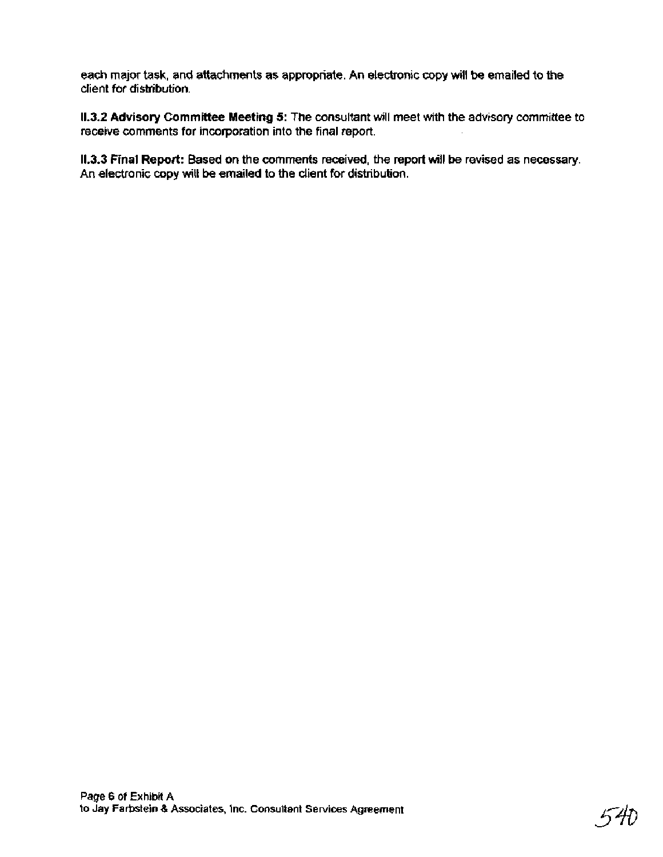each major task, and attachments as appropriate. An electronic copy will be emailed to the client for distribution.

**11.3.2 Advisory Committee Meeting 5:** The consultant will meet with the advisory committee to receive comments for incorporation into the final report.

**11.3.3 Final Report:** Based on the comments received, the report will be revised as necessary. An electronic copy will be emailed to the client for distribution.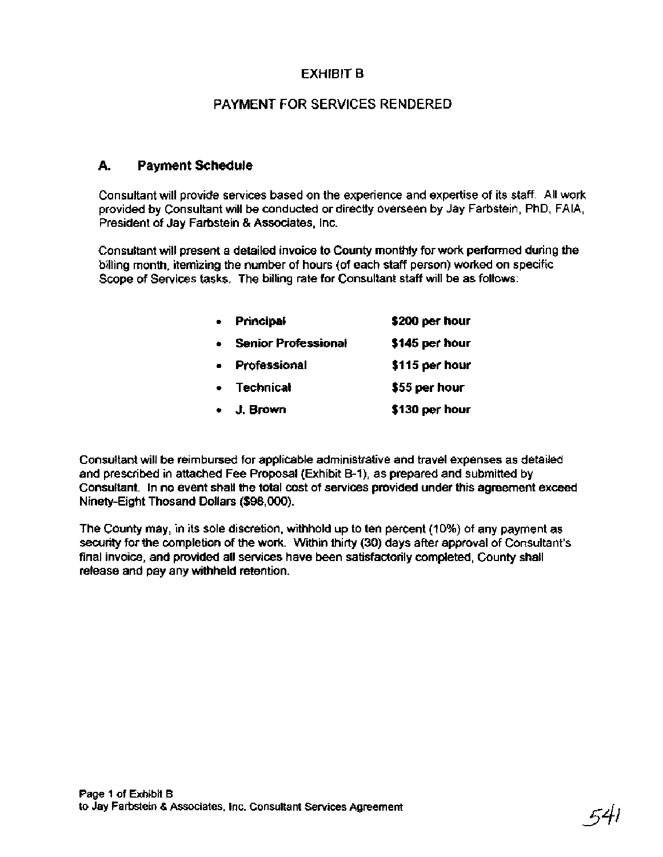# EXHIBIT B

# PAYMENT FOR SERVICES RENDERED

#### **A. Payment Schedule**

Consultant will provide services based on the experience and expertise of its staff. All work provided by Consultant will be conducted or directly overseen by Jay Farbstein, PhD, FAIA, President of Jay Farbstein & Associates, Inc.

Consultant will present a detailed invoice to County monthly for work performed during the billing month, itemizing the number of hours (of each staff person) worked on specific Scope of Services tasks. The billing rate for Consultant staff will be as follows:

| <b>Principal</b>           | \$200 per hour |
|----------------------------|----------------|
| <b>Senior Professional</b> | \$145 per hour |
| Professional               | \$115 per hour |
| • Technical                | \$55 per hour  |
| J. Brown                   | \$130 per hour |

Consultant will be reimbursed for applicable administrative and travel expenses as detailed and prescribed in attached Fee Proposal (Exhibit B-1), as prepared and submitted by Consultant. In no event shall the total cost of services provided under this agreement exceed Ninety-Eight Thosand Dollars (\$98,000).

The County may, in its sole discretion, withhold up to ten percent (10%) of any payment as security for the completion of the work. Within thirty (30) days after approval of Consultant's final invoice, and provided all services have been satisfactorily completed, County shall release and pay any withheld retention.

541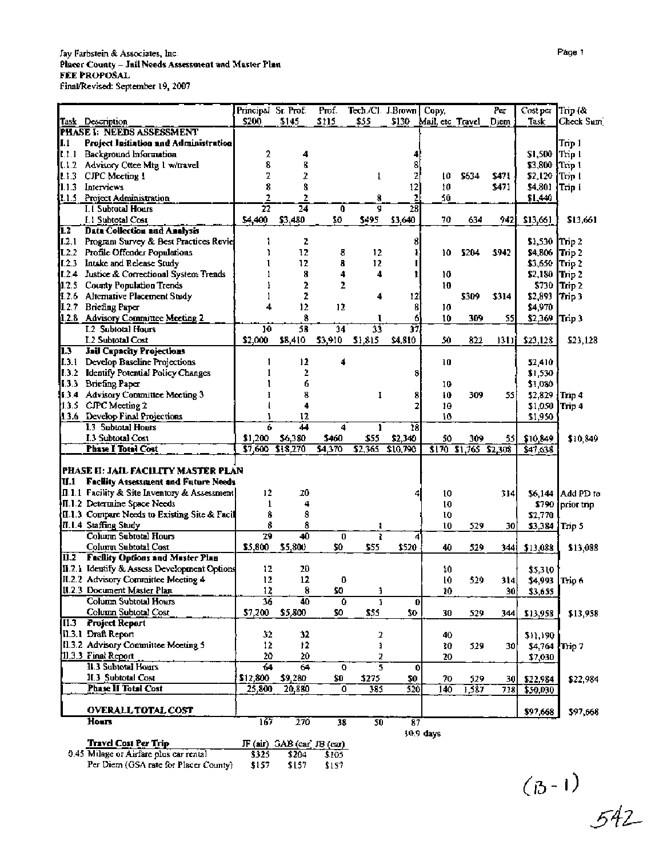#### Jay Farbstein & Associates, Inc. **Placer** County - **Jail Needs Assessment and Master Plan FEE PROPOSAL**  FinallRevised: September 19,2007

|                                                |                                                              | Principal St. Prof. |                            | Prof.          | Tech./Cl. J.Brown |                 | Copy,            |                          | Per   | Cost per        | Trip (&           |
|------------------------------------------------|--------------------------------------------------------------|---------------------|----------------------------|----------------|-------------------|-----------------|------------------|--------------------------|-------|-----------------|-------------------|
|                                                | Task Description                                             | \$200               | \$145                      | \$115          | \$55              | \$130           | Mail, etc Travel |                          | Diem  | Task            | Check Sum         |
| PHASE I: NEEDS ASSESSMENT                      |                                                              |                     |                            |                |                   |                 |                  |                          |       |                 |                   |
| II. 1                                          | Project Initiation and Administration                        |                     |                            |                |                   |                 |                  |                          |       |                 | Trip 1            |
| II. I. I                                       | Background Information                                       | 2                   | 4                          |                |                   |                 |                  |                          |       | \$1,500         | Trip I            |
| $\mathbf{I} \cdot \mathbf{1} \cdot \mathbf{2}$ | Advisory Cttee Mtg 1 w/travel                                | 8                   | 8                          |                |                   | 8               |                  |                          |       | \$3,800         | Trip <sub>1</sub> |
| 11.1.3                                         | CJPC Meeting 1                                               | 2                   | 2                          |                | ı                 | 2               | 10               | \$634                    | S47 L | $$2,120$ Trip 1 |                   |
| h.1.3                                          | Interviews                                                   | 8                   | 8                          |                |                   | 12              | 10               |                          | \$471 | \$4,801         | Trip i            |
| 1.1.5                                          | Project Administration                                       | 2                   | 2                          |                | 8                 | 2               | 50               |                          |       | \$1,440         |                   |
|                                                | <b>I.1 Subtotal Hours</b>                                    | $\overline{22}$     | $\overline{24}$            | 0              | g                 | 28              |                  |                          |       |                 |                   |
|                                                | <b>E.1 Subtotal Cost</b>                                     | \$4,400             | \$3,480                    | S0             | \$495             | \$3,640         | 70               | 634                      | 9421  | \$13,661        | \$13,661          |
| ĪΩ                                             | <b>Data Collection and Analysis</b>                          |                     |                            |                |                   |                 |                  |                          |       |                 |                   |
|                                                | 1.2.1 Program Survey & Best Practices Revie                  | 1                   | z                          |                |                   | 8               |                  |                          |       | \$1,530 Trip 2  |                   |
|                                                | 1.2.2 Profile Offender Populations                           | ٦                   | 12                         | 8              | 12                | Ł               | 10               | \$204                    | 5942  | \$4,806         | Trip <sub>2</sub> |
| L2.3                                           | Intake and Release Study                                     |                     | 12                         | 8              | 12                |                 |                  |                          |       | \$3,650         | Trio 2            |
| IL2.4                                          | Justice & Correctional System Trends                         |                     | 8                          | 4              | 4                 |                 | 10               |                          |       | \$2,180 Trip 2  |                   |
| 11.2.5                                         | County Population Trends                                     |                     | 2                          | 2              |                   |                 | 10               |                          |       |                 | \$730 Trip 2      |
| 1.2.6                                          | Alternative Placement Study                                  |                     | 2                          |                | 4                 | $12 \,$         |                  | \$309                    | \$314 | \$2,893         | Trip 3            |
| I.2.7                                          | <b>Briefing Paper</b>                                        | 4                   | 12                         | 12             |                   | 8               | 10               |                          |       | \$4,970         |                   |
|                                                | 1.2.8 Advisory Committee Meeting 2                           |                     | 8                          |                |                   | 6               | 10               | 309                      | SSI   | \$2,369         | Trip 3            |
|                                                | <b>I.2 Subtotal Hours</b>                                    | 10                  | 58                         | 34             | 33                | 37              |                  |                          |       |                 |                   |
|                                                | I.2 Subtotal Cost                                            | \$2,000             | \$8,410                    | \$3,910        | \$1,815           | \$4,810         | 50               | 822                      | 1311  | \$23,128        | \$23,128          |
| IJ                                             | Jail Capacity Projections                                    |                     |                            |                |                   |                 |                  |                          |       |                 |                   |
| 1.3.1                                          | Develop Baseline Projections                                 |                     | 12                         | 4              |                   |                 | 10               |                          |       | 52,410          |                   |
| E.3.2                                          | <b>Identify Potential Policy Changes</b>                     |                     | 2                          |                |                   | 8               |                  |                          |       | \$1,530         |                   |
| 1.3.3                                          | <b>Briefing Paper</b>                                        |                     | 6<br>8                     |                |                   |                 | 10               |                          |       | \$1,080         |                   |
| 11.3.4                                         | <b>Advisory Committee Meeting 3</b><br>CJPC Meeting 2        |                     | 4                          |                | I                 | 8               | Ŧ0               | 309                      | 55    | \$2,829         | Trip 4            |
| 1.3.5                                          |                                                              |                     | 12                         |                |                   | 2               | 10<br>10         |                          |       | \$1,050         | Trip 4            |
|                                                | 1.3.6 Develop Final Projections<br>1.3 Subtotal Hours        | 6                   | $\overline{44}$            | 4              |                   | 18              |                  |                          |       | \$1,950         |                   |
|                                                | I.3 Subtotal Cost                                            | \$1,200             | \$6,380                    | \$460          | \$55              | \$2,340         | 50               | 309                      | 551   | \$10,849        | \$10,849          |
|                                                | Phase I Total Cost                                           | $\overline{$7,600}$ | \$18,270                   | \$4,370        | \$2,365           | \$10,790        |                  | $$170$ $$1,765$ $$2,308$ |       | \$47,638        |                   |
|                                                |                                                              |                     |                            |                |                   |                 |                  |                          |       |                 |                   |
| PHASE II: JAIL FACILITY MASTER PLAN            |                                                              |                     |                            |                |                   |                 |                  |                          |       |                 |                   |
| III.1                                          | <b>Facility Assessment and Future Needs</b>                  |                     |                            |                |                   |                 |                  |                          |       |                 |                   |
|                                                | <b>II.1.1 Facility &amp; Site Inventory &amp; Assessment</b> | 12                  | 20                         |                |                   |                 | 10               |                          | 314   |                 | \$6,144 Add PD to |
|                                                | II.1.2 Determine Space Needs                                 | 1                   | 4                          |                |                   |                 | 10               |                          |       | \$790           | prior trip        |
|                                                | II.1.3 Compare Needs to Existing Site & Facil                | 8                   | 8                          |                |                   |                 | 10               |                          |       | \$2,770         |                   |
|                                                | II.1.4 Staffing Study                                        | 8                   | 8                          |                | ı                 |                 | 10               | 529                      | 30    | \$3,384         | Trip 5            |
|                                                | Column Subtotal Hours                                        | 29                  | 40                         | 0              | ı                 |                 |                  |                          |       |                 |                   |
|                                                | Column Subtotal Cost                                         | \$5,800             | \$5,800                    | \$0            | \$55              | \$520           | 40               | 529                      | 3441  | \$13,088        | \$13,088          |
|                                                | 11.2 Facility Options and Master Plan                        |                     |                            |                |                   |                 |                  |                          |       |                 |                   |
|                                                | II.2.1 Identify & Assess Development Options                 | 12                  | 20                         |                |                   |                 | 10               |                          |       | \$5,310         |                   |
|                                                | II.2.2 Advisory Committee Meeting 4                          | 12                  | 12                         | 0              |                   |                 | 10               | 529                      | 314.  | \$4,993 Trip 6  |                   |
|                                                | II.2.3 Document Master Plan                                  | 12                  | 8                          | \$0            | ì                 |                 | 10               |                          | 30}   | \$3,655         |                   |
|                                                | Column Subtotal Hours                                        | 36                  | 40                         | $\overline{0}$ | Ĭ.                | $\bf{0}$        |                  |                          |       |                 |                   |
|                                                | Column Subtotal Cost                                         | \$7,200             | \$5,800                    | 50             | \$55              | 20              | 30               | 529                      | 344   | \$13,958        | \$13,958          |
|                                                | II.3 Project Report                                          |                     |                            |                |                   |                 |                  |                          |       |                 |                   |
|                                                | II.3.1 Draft Report                                          | 32                  | 32                         |                | 2                 |                 | 40.              |                          |       | \$11,190        |                   |
|                                                | II.3.2 Advisory Committee Meeting 5                          | 12                  | 12                         |                | ł                 |                 | 30               | 529                      | 30I   |                 | \$4,764 This 7    |
|                                                | 11.3.3 Final Report                                          | 20                  | 20                         |                | 2                 |                 | 20               |                          |       | \$7,030         |                   |
|                                                | II.3 Subtotal Hours                                          | 64                  | 64                         | $\mathbf{O}$   | 5                 | 0               |                  |                          |       |                 |                   |
|                                                | II.3 Subtotal Cost                                           | \$12,800            | \$9,280                    | \$0            | \$275             | \$0             | 70               | 529                      | 30I   | \$22,984        | \$22,984          |
|                                                | Phase II Total Cost                                          | 25,800              | 20,880                     | ō              | 385               | 520             | 140              | 1,587                    | 718   | \$50,030        |                   |
|                                                |                                                              |                     |                            |                |                   |                 |                  |                          |       |                 |                   |
|                                                | OVERALL TOTAL COST                                           |                     |                            |                |                   |                 |                  |                          |       | \$97,668        | \$97,668          |
|                                                | <b>Hours</b>                                                 | 167                 | 270                        | 38             | $\overline{50}$   | $\overline{87}$ |                  |                          |       |                 |                   |
|                                                |                                                              |                     |                            |                |                   |                 | <b>10.9 days</b> |                          |       |                 |                   |
|                                                | <b>Travel Cost Per Trip</b>                                  |                     | JF (air) GAB (car JB (car) |                |                   |                 |                  |                          |       |                 |                   |
|                                                | 0.45 Milage or Airfare plus car rental                       | \$325               | \$204                      | \$105          |                   |                 |                  |                          |       |                 |                   |

Per Diem (GSA rate for Placer County) \$157 \$157 \$157

 $(13 - 1)$ <br>542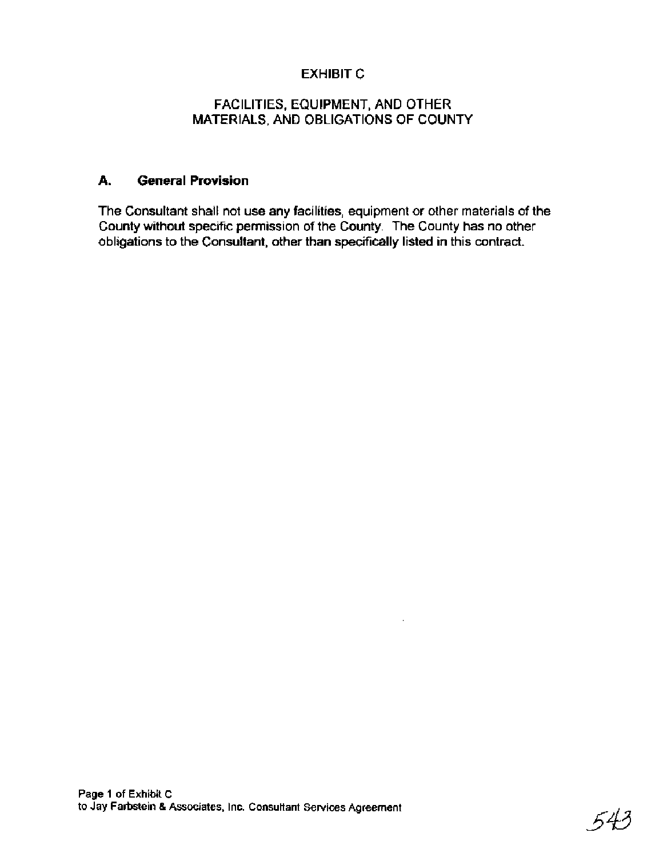# EXHIBIT C

### FACILITIES, EQUIPMENT, AND OTHER MATERIALS, AND OBLIGATIONS OF COUNTY

### **A. General Provision**

The Consultant shall not use any facilities, equipment or other materials of the County without specific permission of the County. The County has no other obligations to the Consultant, other than specifically listed in this contract.

543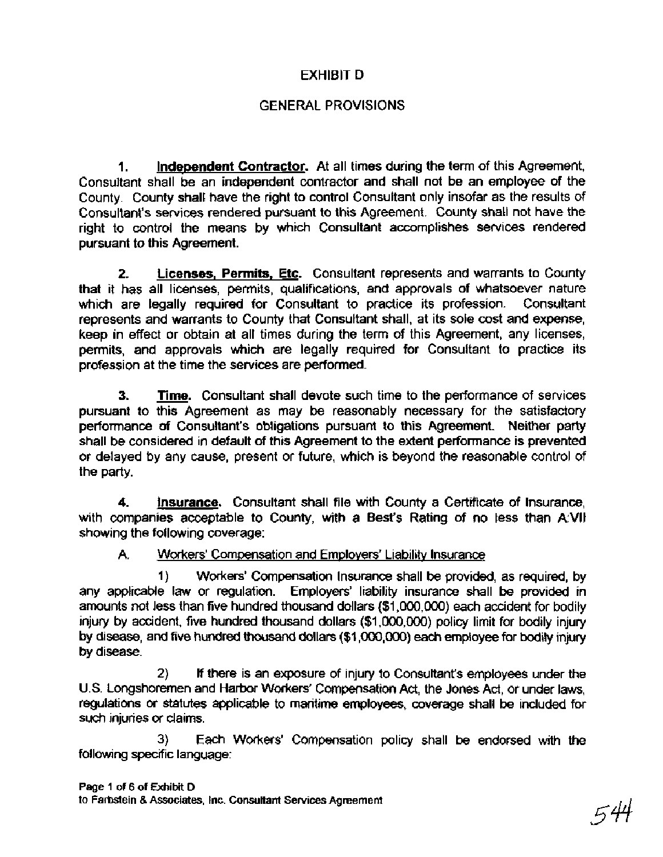# EXHIBIT D

# GENERAL PROVISIONS

**1. Independent Contractor.** At all times during the term of this Agreement, Consultant shall be an independent contractor and shall not be an employee of the County. County shall have the right to control Consultant only insofar as the results of Consultant's services rendered pursuant to this Agreement. County shall not have the right to control the means by which Consultant accomplishes services rendered pursuant to this Agreement.

2. **Licenses. Permits. Etc.** Consultant represents and warrants to County that it has all licenses, permits, qualifications, and approvals of whatsoever nature which are legally required for Consultant to practice its profession. Consultant Frepresents and warrants to County that Consultant shall, at its sole cost and expense, keep in effect or obtain at all times during the term of this Agreement, any licenses, permits, and approvals which are legally requir keep in effect or obtain at all times during the term of this Agreement, any licenses, permits, and approvals which are legally required for Consultant to practice its profession at the time the services are performed.

pursuant to this Agreement as may be reasonably necessary for the satisfactory performance of Consultant's obligations pursuant to this Agreement. Neither party shall be considered in default of this Agreement to the extent performance is prevented or delayed by any cause, present or future, which is beyond the reasonable control of the party.

**4. Insurance.** Consultant shall file with County a Certificate of Insurance, with companies acceptable to County, with a Best's Rating of no less than A:VII showing the following coverage:

A. Workers' Compensation and Employers' Liability lnsurance

**1)** Workers' Compensation Insurance shall be provided, as required, by any applicable law or regulation. Employers' liability insurance shall be provided in amounts not less than five hundred thousand dollars (\$1,000,000) each accident for bodily injury by accident, five hundred thousand dollars (\$1,000,000) policy limit for bodily injury by disease, and five hundred thousand dollars (\$1,000,000) **each** employee for bodily injury by disease.

**2)** If there is an exposure of injury to Consultant's employees under the U.S. Longshoremen and Harbor Workers' Compensation Act, the Jones Act, or under laws, regulations or statutes applicable to maritime employees, coverage shall be included for such injuries or claims.

**3)** Each Workers' Compensation policy shall be endorsed with the following specific language:

**Page 1 of 6 of Exhibit D to Farbstein** & **Associates, Inc. Consuttant Services Agreement** 

544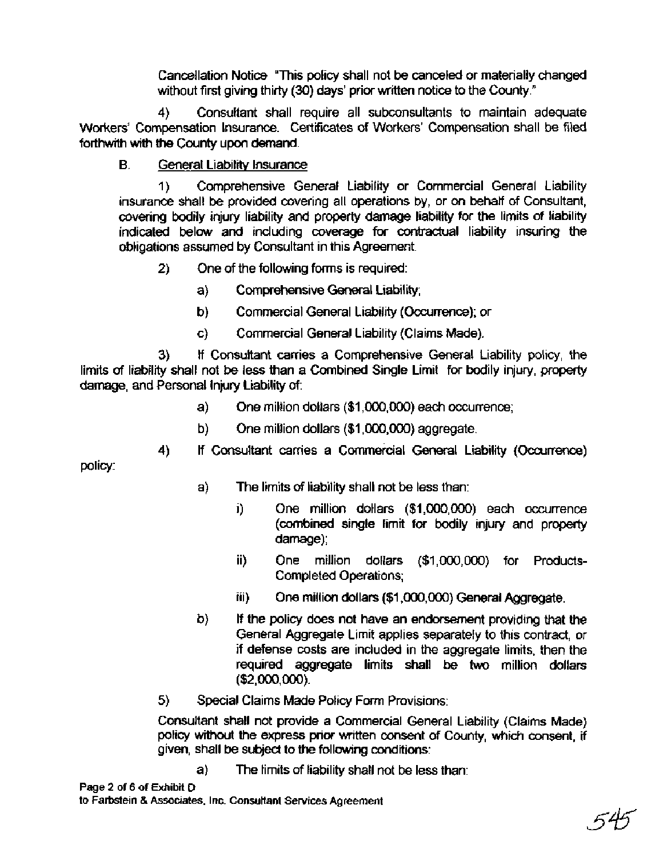Cancellation Notice "This policy shall not be canceled or materially changed without first giving thirty (30) days' prior written notice to the County."

**4)** Consultant shall require all subconsultants to maintain adequate Workers' Compensation Insurance. Certificates of Workers' Compensation shall be filed forthwith with the County upon demand.

# B. General Liability Insurance

1) Comprehensive General Liability or Commercial General Liability insurance shall be provided covering all operations by, or on behalf of Consultant, covering bodily injury liability and property damage liability for the limits of liability indicated below and including coverage for contractual liability insuring the obligations assumed by Consultant in this Agreement.

- 2) One of the following forms is required:
	- a) Comprehensive General Liability;
	- b) Commercial General Liability (Occurrence); or
	- c) Commercial General Liability (Claims Made).

**3)** If Consultant carries a Comprehensive General Liability policy, the limits of liability shall not be less than a Combined Single Limit for bodily injury, property damage, and Personal injury Liability **of.** 

- a) One million dollars (\$1,000,000) each occurrence;
- b) One million dollars (\$1,000,000) aggregate.

4) If Consultant carries a Commercial General Liability (Occurrence)

policy:

- a) The limits of liability shall not be less than:
	- i) One million dollars (\$1,000,000) each occurrence (combined single limit for bodily injury and property damage);
	- ii) One million dollars (\$1,000,000) for Products-Completed Operations;
	- iii) One million dollars (\$1,000,000) General Aggregate.
- b) If the policy does not have an endorsement providing that the General Aggregate Limit applies separately to this contract, or if defense costs are included in the aggregate limits, then the required aggregate limits shall be **two** million dollars (\$2,000,ooo).
- **5)** Special Claims Made Policy Form Provisions:

Consultant shall not provide a Commercial General Liability (Claims Made) policy without the express prior written consent of County, which consent, if given, shall be subject to the following conditions:

a) The limits of liability shall not be less than: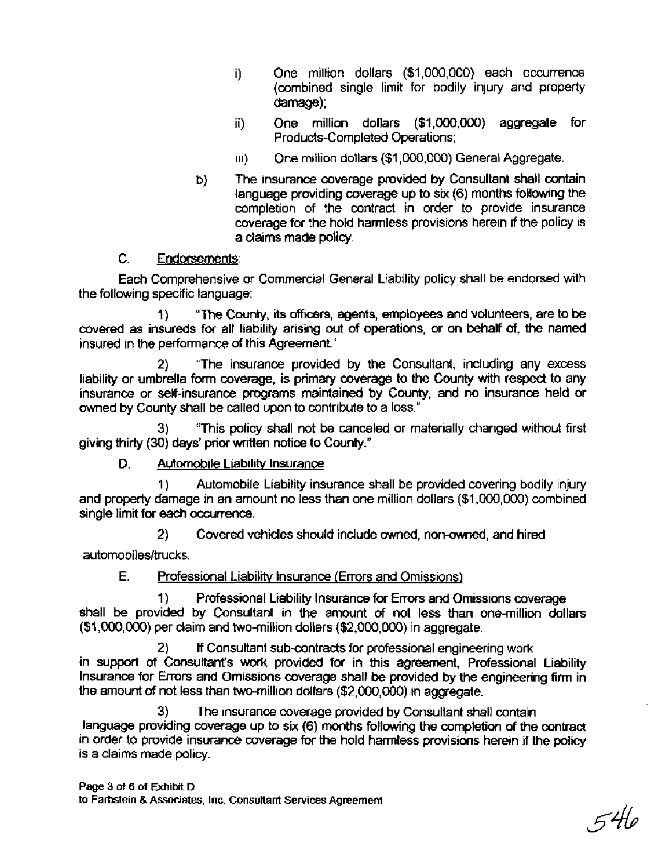- i) One million dollars (\$1,000,000) each occurrence (combined single limit for bodily injury and property damage);
- ii) One million dollars (\$1,000,000) aggregate for Products-Completed Operations;
- iii) One million dollars (\$1,000,000) General Aggregate.
- b) The insurance coverage provided by Consultant shall contain language providing coverage up to six (6) months following the completion of the contract in order to provide insurance coverage for the hold harmless provisions herein if the policy is a claims made policy.

### C. Endorsements:

Each Comprehensive or Commercial General Liability policy shall be endorsed with the following specific language:

**1)** "The County, its officers, agents, employees and volunteers, are to be covered as insureds for all liability arising out of operations, or on behalf of, the named insured in the performance of this Agreement."

2) "The insurance provided by the Consultant, including any excess liability or umbrella form coverage, is primary coverage to the County with respect to any insurance **or** self-insurance programs maintained by County, and no insurance held or owned by County shall be called upon to contribute to a loss."

**3)** "This policy shall not be canceled or materially changed without first giving thirty (30) days' prior written notice to County."

D. Automobile Liability Insurance

1) Automobile Liability insurance shall be provided covering bodily injury and property damage in an amount no less than one million dollars (\$1,000,000) combined single limit for each occurrence.

2) Covered vehicles should include owned, non-owned, and hired

automobiles/trucks.

# E. Professional Liability lnsurance (Errors and Omissions)

1 ) Professional Liability Insurance for Errors and Omissions coverage shall be provided by Consultant in the amount of not less than one-million dollars (\$1,000,000) per claim and two-million dollars (\$2,000,000) in aggregate.

2) If Consultant sub-contracts for professional engineering work in support of Consultant's work provided for in this agreement, Professional Liability lnsurance for Errors and Omissions coverage shall be provided by the engineering **firm** in the amount of not less than two-million dollars (\$2,000,000) in aggregate.

**3)** The insurance coverage provided by Consultant shall contain language providing coverage up to six (6) months following the completion of the contract in order to provide insurance coverage for the hold harmless provisions herein if the policy is a claims made policy.

.54b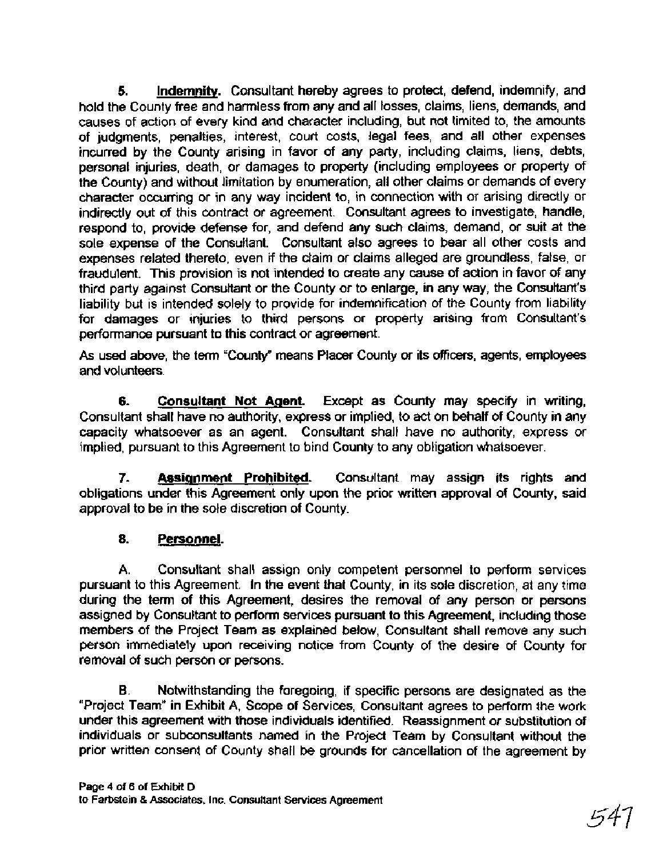**5. Indemnity.** Consultant hereby agrees to protect, defend, indemnify, and hold the County free and harmless from any and all losses, claims, liens, demands, and causes of action of every kind and character including, but not limited to, the amounts of judgments, penalties, interest, court costs, legal fees, and all other expenses incurred by the County arising in favor of any party, including claims, liens, debts, personal injuries, death, or damages to property (including employees or property of the County) and without limitation by enumeration, all other claims or demands of every character occurring or in any way incident to, in connection with or arising directly or indirectly out of this contract or agreement. Consultant agrees to investigate, handle, respond to, provide defense for, and defend any such claims, demand, or suit at the sole expense of the Consultant. Consultant also agrees to bear all other costs and expenses related thereto, even if the claim or claims alleged are groundless, false, or fraudulent. This provision is not intended to create any cause of action in favor of any third party against Consultant or the County or to enlarge, in any way, the Consultant's liability but is intended solely to provide for indemnification of the County from liability for damages or injuries to third persons or property arising from Consultant's performance pursuant to this contract or agreement.

As used above, the term "County" means Placer County or its officers, agents, employees and volunteers.

**6.** Consultant Not Agent. Except as County may specify in writing, Consultant shall have no authority, express or implied, to act on behalf of County in any capacity whatsoever as an agent. Consultant shall have no authority, express or implied, pursuant to this Agreement to bind County to any obligation whatsoever.

**7. Assianment Prohibited.** Consultant may assign its rights and obligations under this Agreement only upon the prior written approval of County, said approval to be in the sole discretion of County.

# **8. Personnel.**

**A.** Consultant shall assign only competent personnel to perform services pursuant to this Agreement. In the event that County, in its sole discretion, at any time during the term of this Agreement, desires the removal of any person or persons assigned by Consultant to perform services pursuant to this Agreement, including those members of the Project Team as explained below, Consultant shall remove any such person immediately upon receiving notice from County of the desire of County for removal of such person or persons.

**B.** Notwithstanding the foregoing, if specific persons are designated as the "Project Team" in Exhibit A, Scope of Services, Consultant agrees to perform the work under this agreement with those individuals identified. Reassignment or substitution of individuals or subconsultants named in the Project Team by Consultant without the prior written consent of County shall be grounds for cancellation of the agreement by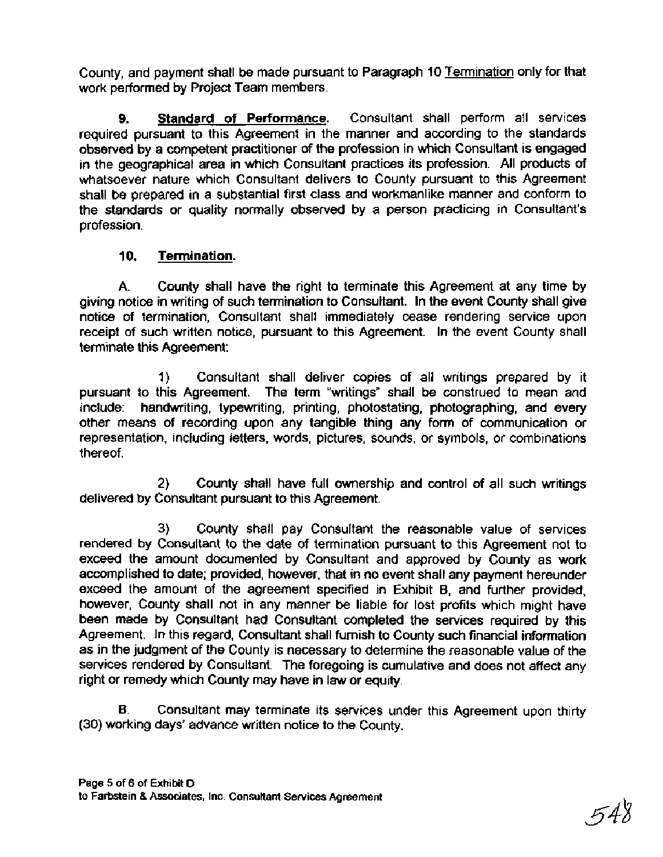County, and payment shall be made pursuant to Paragraph 10 Termination only for that work performed by Project Team members.

**9. Standard of Performance.** Consultant shall perform all services required pursuant to this Agreement in the manner and according to the standards observed by a competent practitioner of the profession in which Consultant is engaged in the geographical area in which Consultant practices its profession. All products of whatsoever nature which Consultant delivers to County pursuant to this Agreement shall be prepared in a substantial first class and workmanlike manner and conform to the standards or quality normally observed by a person practicing in Consultant's profession.

# **10. Termination.**

A. County shall have the right to terminate this Agreement at any time by giving notice in writing of such termination to Consultant. In the event County shall give notice of termination, Consultant shall immediately cease rendering service upon receipt of such written notice, pursuant to this Agreement. In the event County shall terminate this Agreement:

1) Consultant shall deliver copies of all writings prepared by it pursuant to this Agreement. The term "writings" shall be construed to mean and include: handwriting, typewriting, printing, photostating, photographing, and every other means of recording upon any tangible thing any form of communication or representation, including letters, words, pictures, sounds, or symbols, or combinations thereof.

**2)** County shall have full ownership and control of all such writings delivered by Consultant pursuant to this Agreement.

3) County shall pay Consultant the reasonable value of services rendered by Consultant to the date of termination pursuant to this Agreement not to exceed the amount documented by Consultant and approved by County as work accomplished to date; provided, however, that in no event shall any payment hereunder exceed the amount of the agreement specified in Exhibit B, and further provided, however, County shall not in any manner be liable for lost profits which might have been made by Consultant had Consultant completed the services required by this Agreement. In this regard, Consultant shall furnish to County such financial information as in the judgment of the County is necessary to determine the reasonable value of the services rendered by Consultant. The foregoing is cumulative and does not affect any right or remedy which County may have in law or equity.

**B.** Consultant may terminate its services under this Agreement upon thirty (30) working days' advance written notice to the County.

.548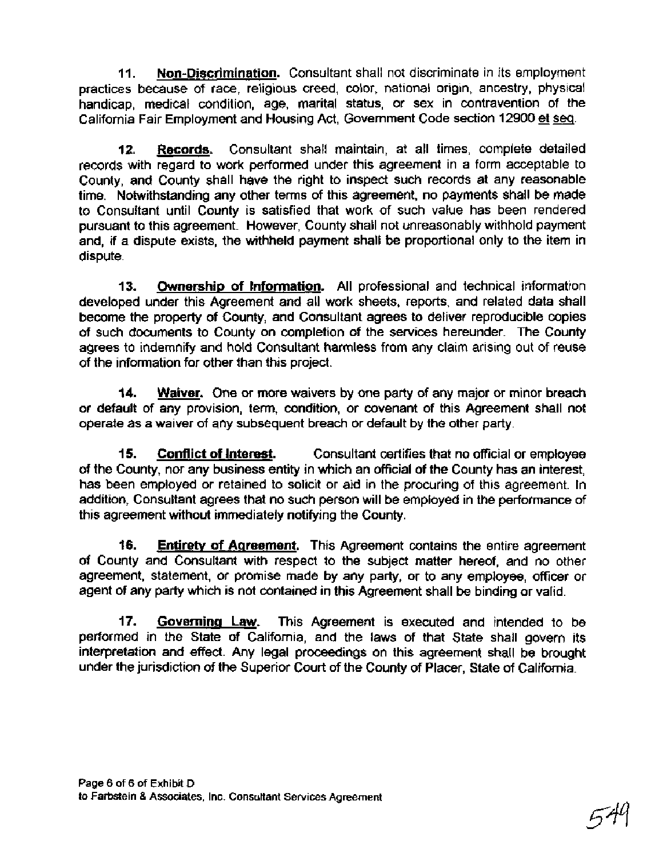**I. Non-Discrimination.** Consultant shall not discriminate in its employment practices because of race, religious creed, color, national origin, ancestry, physical handicap, medical condition, age, marital status, or sex in contravention of the California Fair Employment and Housing Act, Government Code section 12900 et seq.

**12. Records.** Consultant shall maintain, at all times, complete detailed records with regard to work performed under this agreement in a form acceptable to County, and County shall have the right to inspect such records at any reasonable time. Notwithstanding any other terms of this agreement, no payments shall be made to Consultant until County is satisfied that work of such value has been rendered pursuant to this agreement. However, County shall not unreasonably withhold payment and, if a dispute exists, the withheld payment shall be proportional only to the item in dispute.

13. **Ownership of Information.** All professional and technical information developed under this Agreement and all work sheets, reports, and related data shall become the property of County, and Consultant agrees to deliver reproducible copies of such documents to County on completion of the services hereunder. The County agrees to indemnify and hold Consultant harmless from any claim arising out of reuse of the information for other than this project.

**14. Waiver.** One or more waivers by one party of any major or minor breach or default of any provision, term, condition, or covenant of this Agreement shall not operate as a waiver of any subsequent breach or default by the other party.

**15. Conflict of Interest.** Consultant certifies that no official or employee of the County, nor any business entity in which an official of the County has an interest, has been employed or retained to solicit or aid in the procuring of this agreement. In addition, Consultant agrees that no such person will be employed in the performance of this agreement without immediately notifying the County.

**16.** Entirety of Agreement. This Agreement contains the entire agreement of County and Consultant with respect to the subject matter hereof, and no other agreement, statement, or promise made by any party, or to any employee, officer or agent of any party which is not contained in this Agreement shall be binding or valid.

**17. Govemina Law.** This Agreement is executed and intended to be performed in the State of California, and the laws of that State shall govern its interpretation and effect. Any legal proceedings on this agreement shall be brought under the jurisdiction of the Superior Court of the County of Placer, State of California.